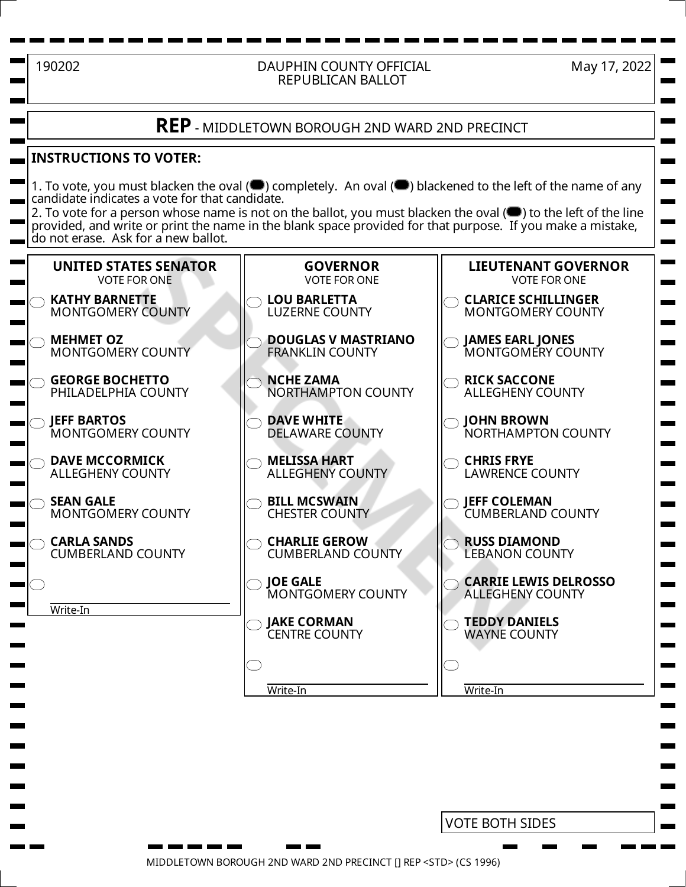## 190202 DAUPHIN COUNTY OFFICIAL REPUBLICAN BALLOT

## **REP** - MIDDLETOWN BOROUGH 2ND WARD 2ND PRECINCT

## **INSTRUCTIONS TO VOTER:**

1. To vote, you must blacken the oval ( $\blacksquare$ ) completely. An oval ( $\blacksquare$ ) blackened to the left of the name of any candidate indicates a vote for that candidate.

2. To vote for a person whose name is not on the ballot, you must blacken the oval  $($ ) to the left of the line provided, and write or print the name in the blank space provided for that purpose. If you make a mistake, do not erase. Ask for a new ballot.



VOTE BOTH SIDES